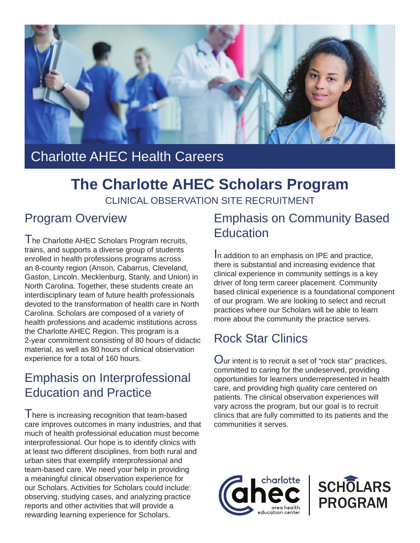

# Charlotte AHEC Health Careers

### **The Charlotte AHEC Scholars Program** CLINICAL OBSERVATION SITE RECRUITMENT

### Program Overview

I he Charlotte AHEC Scholars Program recruits, trains, and supports a diverse group of students enrolled in health professions programs across an 8-county region (Anson, Cabarrus, Cleveland, Gaston, Lincoln, Mecklenburg, Stanly, and Union) in North Carolina. Together, these students create an interdisciplinary team of future health professionals devoted to the transformation of health care in North Carolina. Scholars are composed of a variety of health professions and academic institutions across the Charlotte AHEC Region. This program is a 2-year commitment consisting of 80 hours of didactic material, as well as 80 hours of clinical observation experience for a total of 160 hours.

# Emphasis on Interprofessional Education and Practice

I here is increasing recognition that team-based care improves outcomes in many industries, and that much of health professional education must become interprofessional. Our hope is to identify clinics with at least two different disciplines, from both rural and urban sites that exemplify interprofessional and team-based care. We need your help in providing a meaningful clinical observation experience for our Scholars. Activities for Scholars could include: observing, studying cases, and analyzing practice reports and other activities that will provide a rewarding learning experience for Scholars.

# Emphasis on Community Based **Education**

In addition to an emphasis on IPE and practice, there is substantial and increasing evidence that clinical experience in community settings is a key driver of long term career placement. Community based clinical experience is a foundational component of our program. We are looking to select and recruit practices where our Scholars will be able to learn more about the community the practice serves.

# Rock Star Clinics

Our intent is to recruit a set of "rock star" practices, committed to caring for the undeserved, providing opportunities for learners underrepresented in health care, and providing high quality care centered on patients. The clinical observation experiences will vary across the program, but our goal is to recruit clinics that are fully committed to its patients and the communities it serves.